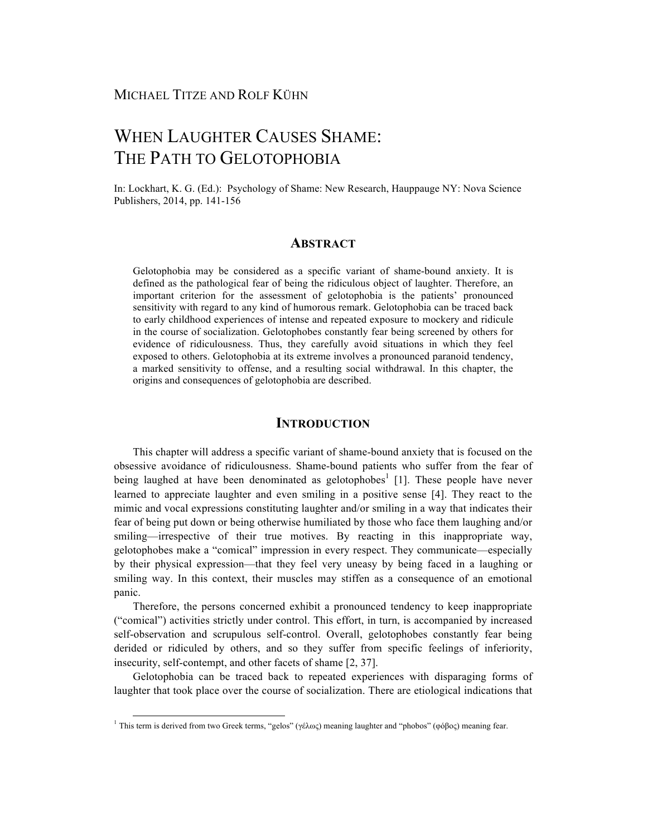# WHEN LAUGHTER CAUSES SHAME: THE PATH TO GELOTOPHOBIA

In: Lockhart, K. G. (Ed.): Psychology of Shame: New Research, Hauppauge NY: Nova Science Publishers, 2014, pp. 141-156

### **ABSTRACT**

Gelotophobia may be considered as a specific variant of shame-bound anxiety. It is defined as the pathological fear of being the ridiculous object of laughter. Therefore, an important criterion for the assessment of gelotophobia is the patients' pronounced sensitivity with regard to any kind of humorous remark. Gelotophobia can be traced back to early childhood experiences of intense and repeated exposure to mockery and ridicule in the course of socialization. Gelotophobes constantly fear being screened by others for evidence of ridiculousness. Thus, they carefully avoid situations in which they feel exposed to others. Gelotophobia at its extreme involves a pronounced paranoid tendency, a marked sensitivity to offense, and a resulting social withdrawal. In this chapter, the origins and consequences of gelotophobia are described.

# **INTRODUCTION**

This chapter will address a specific variant of shame-bound anxiety that is focused on the obsessive avoidance of ridiculousness. Shame-bound patients who suffer from the fear of being laughed at have been denominated as gelotophobes<sup>1</sup> [1]. These people have never learned to appreciate laughter and even smiling in a positive sense [4]. They react to the mimic and vocal expressions constituting laughter and/or smiling in a way that indicates their fear of being put down or being otherwise humiliated by those who face them laughing and/or smiling—irrespective of their true motives. By reacting in this inappropriate way, gelotophobes make a "comical" impression in every respect. They communicate—especially by their physical expression—that they feel very uneasy by being faced in a laughing or smiling way. In this context, their muscles may stiffen as a consequence of an emotional panic.

Therefore, the persons concerned exhibit a pronounced tendency to keep inappropriate ("comical") activities strictly under control. This effort, in turn, is accompanied by increased self-observation and scrupulous self-control. Overall, gelotophobes constantly fear being derided or ridiculed by others, and so they suffer from specific feelings of inferiority, insecurity, self-contempt, and other facets of shame [2, 37].

Gelotophobia can be traced back to repeated experiences with disparaging forms of laughter that took place over the course of socialization. There are etiological indications that

<sup>&</sup>lt;sup>1</sup> This term is derived from two Greek terms, "gelos" (γέλως) meaning laughter and "phobos" (φόβος) meaning fear.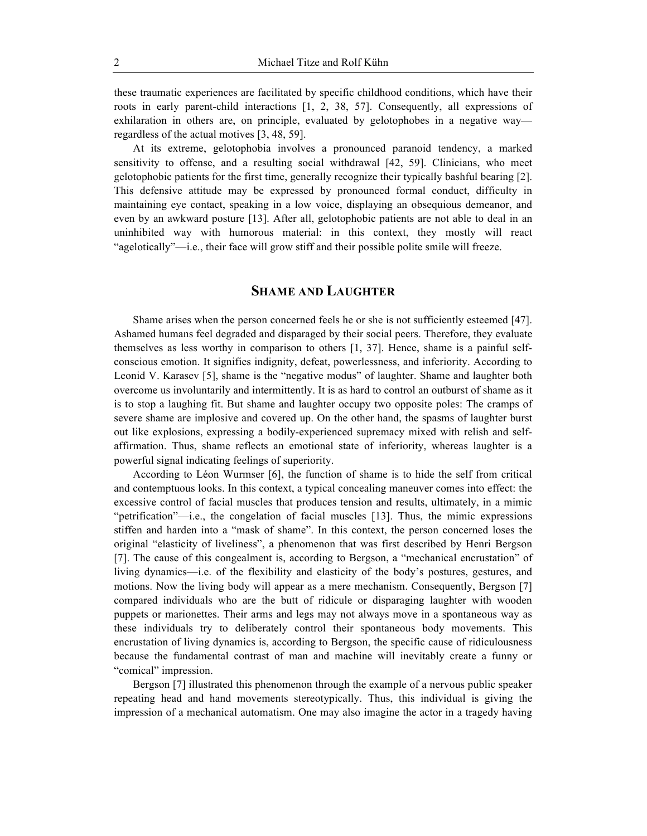these traumatic experiences are facilitated by specific childhood conditions, which have their roots in early parent-child interactions [1, 2, 38, 57]. Consequently, all expressions of exhilaration in others are, on principle, evaluated by gelotophobes in a negative wayregardless of the actual motives [3, 48, 59].

At its extreme, gelotophobia involves a pronounced paranoid tendency, a marked sensitivity to offense, and a resulting social withdrawal [42, 59]. Clinicians, who meet gelotophobic patients for the first time, generally recognize their typically bashful bearing [2]. This defensive attitude may be expressed by pronounced formal conduct, difficulty in maintaining eye contact, speaking in a low voice, displaying an obsequious demeanor, and even by an awkward posture [13]. After all, gelotophobic patients are not able to deal in an uninhibited way with humorous material: in this context, they mostly will react "agelotically"—i.e., their face will grow stiff and their possible polite smile will freeze.

# **SHAME AND LAUGHTER**

Shame arises when the person concerned feels he or she is not sufficiently esteemed [47]. Ashamed humans feel degraded and disparaged by their social peers. Therefore, they evaluate themselves as less worthy in comparison to others [1, 37]. Hence, shame is a painful selfconscious emotion. It signifies indignity, defeat, powerlessness, and inferiority. According to Leonid V. Karasev [5], shame is the "negative modus" of laughter. Shame and laughter both overcome us involuntarily and intermittently. It is as hard to control an outburst of shame as it is to stop a laughing fit. But shame and laughter occupy two opposite poles: The cramps of severe shame are implosive and covered up. On the other hand, the spasms of laughter burst out like explosions, expressing a bodily-experienced supremacy mixed with relish and selfaffirmation. Thus, shame reflects an emotional state of inferiority, whereas laughter is a powerful signal indicating feelings of superiority.

According to Léon Wurmser [6], the function of shame is to hide the self from critical and contemptuous looks. In this context, a typical concealing maneuver comes into effect: the excessive control of facial muscles that produces tension and results, ultimately, in a mimic "petrification"—i.e., the congelation of facial muscles [13]. Thus, the mimic expressions stiffen and harden into a "mask of shame". In this context, the person concerned loses the original "elasticity of liveliness", a phenomenon that was first described by Henri Bergson [7]. The cause of this congealment is, according to Bergson, a "mechanical encrustation" of living dynamics—i.e. of the flexibility and elasticity of the body's postures, gestures, and motions. Now the living body will appear as a mere mechanism. Consequently, Bergson [7] compared individuals who are the butt of ridicule or disparaging laughter with wooden puppets or marionettes. Their arms and legs may not always move in a spontaneous way as these individuals try to deliberately control their spontaneous body movements. This encrustation of living dynamics is, according to Bergson, the specific cause of ridiculousness because the fundamental contrast of man and machine will inevitably create a funny or "comical" impression.

Bergson [7] illustrated this phenomenon through the example of a nervous public speaker repeating head and hand movements stereotypically. Thus, this individual is giving the impression of a mechanical automatism. One may also imagine the actor in a tragedy having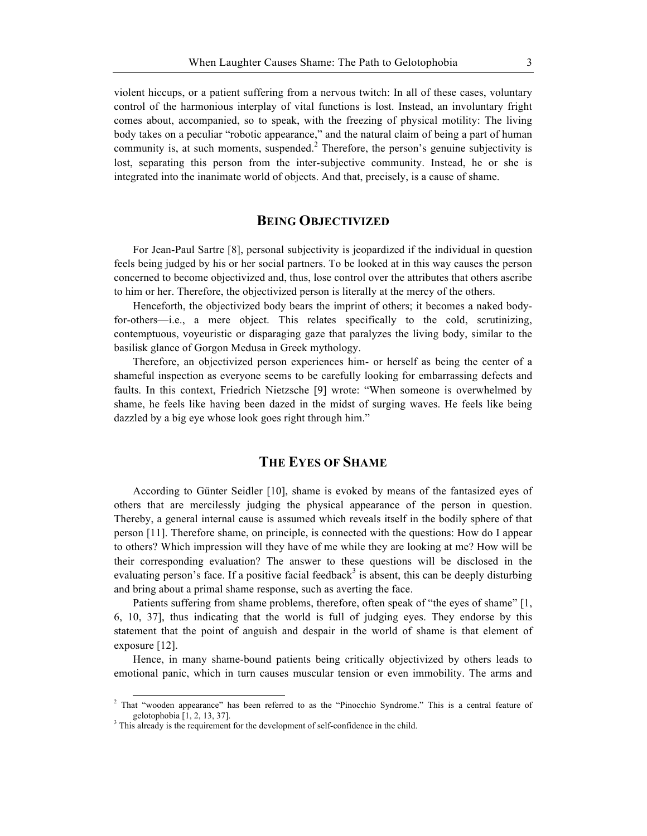violent hiccups, or a patient suffering from a nervous twitch: In all of these cases, voluntary control of the harmonious interplay of vital functions is lost. Instead, an involuntary fright comes about, accompanied, so to speak, with the freezing of physical motility: The living body takes on a peculiar "robotic appearance," and the natural claim of being a part of human community is, at such moments, suspended.<sup>2</sup> Therefore, the person's genuine subjectivity is lost, separating this person from the inter-subjective community. Instead, he or she is integrated into the inanimate world of objects. And that, precisely, is a cause of shame.

# **BEING OBJECTIVIZED**

For Jean-Paul Sartre [8], personal subjectivity is jeopardized if the individual in question feels being judged by his or her social partners. To be looked at in this way causes the person concerned to become objectivized and, thus, lose control over the attributes that others ascribe to him or her. Therefore, the objectivized person is literally at the mercy of the others.

Henceforth, the objectivized body bears the imprint of others; it becomes a naked bodyfor-others—i.e., a mere object. This relates specifically to the cold, scrutinizing, contemptuous, voyeuristic or disparaging gaze that paralyzes the living body, similar to the basilisk glance of Gorgon Medusa in Greek mythology.

Therefore, an objectivized person experiences him- or herself as being the center of a shameful inspection as everyone seems to be carefully looking for embarrassing defects and faults. In this context, Friedrich Nietzsche [9] wrote: "When someone is overwhelmed by shame, he feels like having been dazed in the midst of surging waves. He feels like being dazzled by a big eye whose look goes right through him."

# **THE EYES OF SHAME**

According to Günter Seidler [10], shame is evoked by means of the fantasized eyes of others that are mercilessly judging the physical appearance of the person in question. Thereby, a general internal cause is assumed which reveals itself in the bodily sphere of that person [11]. Therefore shame, on principle, is connected with the questions: How do I appear to others? Which impression will they have of me while they are looking at me? How will be their corresponding evaluation? The answer to these questions will be disclosed in the evaluating person's face. If a positive facial feedback<sup>3</sup> is absent, this can be deeply disturbing and bring about a primal shame response, such as averting the face.

Patients suffering from shame problems, therefore, often speak of "the eyes of shame" [1, 6, 10, 37], thus indicating that the world is full of judging eyes. They endorse by this statement that the point of anguish and despair in the world of shame is that element of exposure [12].

Hence, in many shame-bound patients being critically objectivized by others leads to emotional panic, which in turn causes muscular tension or even immobility. The arms and

<sup>&</sup>lt;sup>2</sup> That "wooden appearance" has been referred to as the "Pinocchio Syndrome." This is a central feature of gelotophobia  $[1, 2, 13, 37]$ .<br><sup>3</sup> This already is the requirement for the development of self-confidence in the child.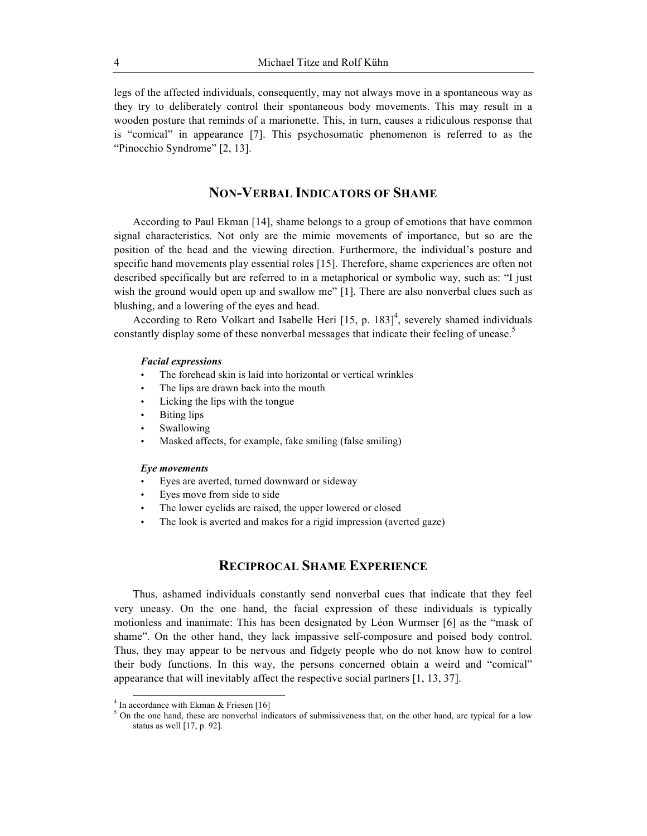legs of the affected individuals, consequently, may not always move in a spontaneous way as they try to deliberately control their spontaneous body movements. This may result in a wooden posture that reminds of a marionette. This, in turn, causes a ridiculous response that is "comical" in appearance [7]. This psychosomatic phenomenon is referred to as the "Pinocchio Syndrome" [2, 13].

# **NON-VERBAL INDICATORS OF SHAME**

According to Paul Ekman [14], shame belongs to a group of emotions that have common signal characteristics. Not only are the mimic movements of importance, but so are the position of the head and the viewing direction. Furthermore, the individual's posture and specific hand movements play essential roles [15]. Therefore, shame experiences are often not described specifically but are referred to in a metaphorical or symbolic way, such as: "I just wish the ground would open up and swallow me" [1]. There are also nonverbal clues such as blushing, and a lowering of the eyes and head.

According to Reto Volkart and Isabelle Heri  $[15, p. 183]$ <sup>4</sup>, severely shamed individuals constantly display some of these nonverbal messages that indicate their feeling of unease.<sup>5</sup>

#### *Facial expressions*

- The forehead skin is laid into horizontal or vertical wrinkles
- The lips are drawn back into the mouth
- Licking the lips with the tongue
- Biting lips
- **Swallowing**
- Masked affects, for example, fake smiling (false smiling)

#### *Eye movements*

- Eyes are averted, turned downward or sideway
- Eyes move from side to side
- The lower eyelids are raised, the upper lowered or closed
- The look is averted and makes for a rigid impression (averted gaze)

# **RECIPROCAL SHAME EXPERIENCE**

Thus, ashamed individuals constantly send nonverbal cues that indicate that they feel very uneasy. On the one hand, the facial expression of these individuals is typically motionless and inanimate: This has been designated by Léon Wurmser [6] as the "mask of shame". On the other hand, they lack impassive self-composure and poised body control. Thus, they may appear to be nervous and fidgety people who do not know how to control their body functions. In this way, the persons concerned obtain a weird and "comical" appearance that will inevitably affect the respective social partners [1, 13, 37].

<sup>&</sup>lt;sup>4</sup> In accordance with Ekman & Friesen [16]<br><sup>5</sup> On the one hand, these are nonverbal indicators of submissiveness that, on the other hand, are typical for a low status as well [17, p. 92].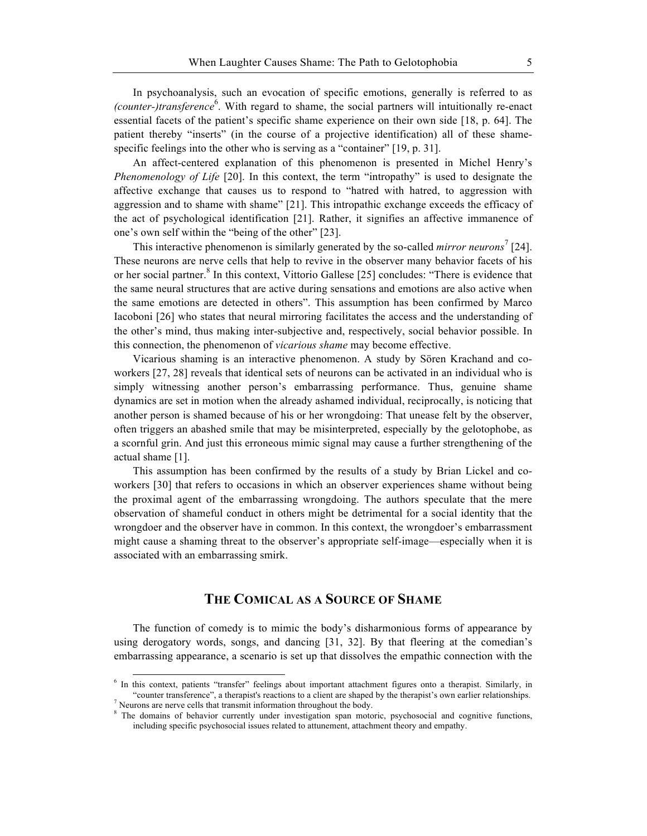In psychoanalysis, such an evocation of specific emotions, generally is referred to as (counter-)transference<sup>6</sup>. With regard to shame, the social partners will intuitionally re-enact essential facets of the patient's specific shame experience on their own side [18, p. 64]. The patient thereby "inserts" (in the course of a projective identification) all of these shamespecific feelings into the other who is serving as a "container" [19, p. 31].

An affect-centered explanation of this phenomenon is presented in Michel Henry's *Phenomenology of Life* [20]. In this context, the term "intropathy" is used to designate the affective exchange that causes us to respond to "hatred with hatred, to aggression with aggression and to shame with shame" [21]. This intropathic exchange exceeds the efficacy of the act of psychological identification [21]. Rather, it signifies an affective immanence of one's own self within the "being of the other" [23].

This interactive phenomenon is similarly generated by the so-called *mirror neurons*<sup>7</sup> [24]. These neurons are nerve cells that help to revive in the observer many behavior facets of his or her social partner.<sup>8</sup> In this context, Vittorio Gallese [25] concludes: "There is evidence that the same neural structures that are active during sensations and emotions are also active when the same emotions are detected in others". This assumption has been confirmed by Marco Iacoboni [26] who states that neural mirroring facilitates the access and the understanding of the other's mind, thus making inter-subjective and, respectively, social behavior possible. In this connection, the phenomenon of *vicarious shame* may become effective.

Vicarious shaming is an interactive phenomenon. A study by Sören Krachand and coworkers [27, 28] reveals that identical sets of neurons can be activated in an individual who is simply witnessing another person's embarrassing performance. Thus, genuine shame dynamics are set in motion when the already ashamed individual, reciprocally, is noticing that another person is shamed because of his or her wrongdoing: That unease felt by the observer, often triggers an abashed smile that may be misinterpreted, especially by the gelotophobe, as a scornful grin. And just this erroneous mimic signal may cause a further strengthening of the actual shame [1].

This assumption has been confirmed by the results of a study by Brian Lickel and coworkers [30] that refers to occasions in which an observer experiences shame without being the proximal agent of the embarrassing wrongdoing. The authors speculate that the mere observation of shameful conduct in others might be detrimental for a social identity that the wrongdoer and the observer have in common. In this context, the wrongdoer's embarrassment might cause a shaming threat to the observer's appropriate self-image—especially when it is associated with an embarrassing smirk.

# **THE COMICAL AS A SOURCE OF SHAME**

The function of comedy is to mimic the body's disharmonious forms of appearance by using derogatory words, songs, and dancing [31, 32]. By that fleering at the comedian's embarrassing appearance, a scenario is set up that dissolves the empathic connection with the

<sup>&</sup>lt;sup>6</sup> In this context, patients "transfer" feelings about important attachment figures onto a therapist. Similarly, in "counter transference", a therapist's reactions to a client are shaped by the therapist's own earlier relationships.<br><sup>7</sup> Neurons are nerve cells that transmit information throughout the body.<br><sup>8</sup> The domains of behavior cu

including specific psychosocial issues related to attunement, attachment theory and empathy.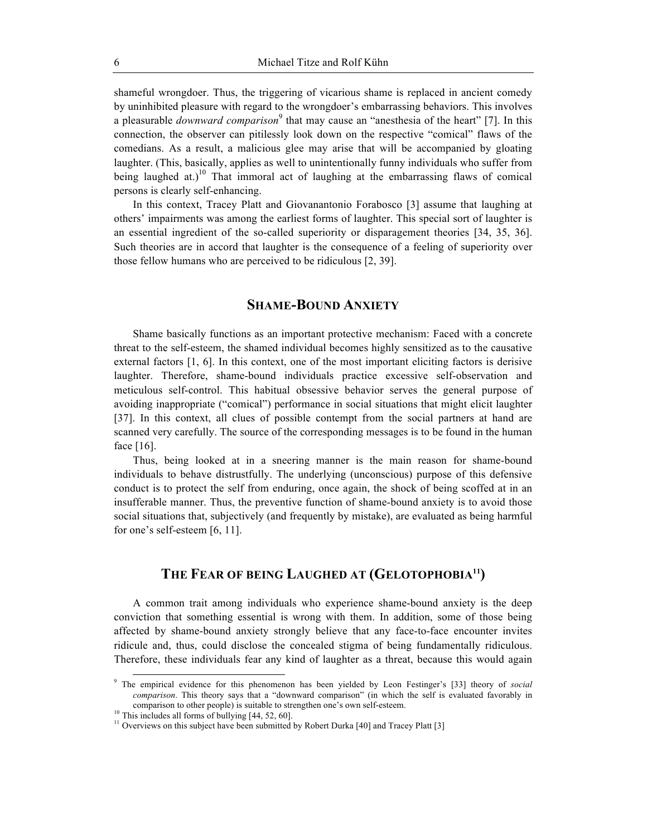shameful wrongdoer. Thus, the triggering of vicarious shame is replaced in ancient comedy by uninhibited pleasure with regard to the wrongdoer's embarrassing behaviors. This involves a pleasurable *downward comparison*<sup>9</sup> that may cause an "anesthesia of the heart" [7]. In this connection, the observer can pitilessly look down on the respective "comical" flaws of the comedians. As a result, a malicious glee may arise that will be accompanied by gloating laughter. (This, basically, applies as well to unintentionally funny individuals who suffer from being laughed at.)<sup>10</sup> That immoral act of laughing at the embarrassing flaws of comical persons is clearly self-enhancing.

In this context, Tracey Platt and Giovanantonio Forabosco [3] assume that laughing at others' impairments was among the earliest forms of laughter. This special sort of laughter is an essential ingredient of the so-called superiority or disparagement theories [34, 35, 36]. Such theories are in accord that laughter is the consequence of a feeling of superiority over those fellow humans who are perceived to be ridiculous [2, 39].

#### **SHAME-BOUND ANXIETY**

Shame basically functions as an important protective mechanism: Faced with a concrete threat to the self-esteem, the shamed individual becomes highly sensitized as to the causative external factors [1, 6]. In this context, one of the most important eliciting factors is derisive laughter. Therefore, shame-bound individuals practice excessive self-observation and meticulous self-control. This habitual obsessive behavior serves the general purpose of avoiding inappropriate ("comical") performance in social situations that might elicit laughter [37]. In this context, all clues of possible contempt from the social partners at hand are scanned very carefully. The source of the corresponding messages is to be found in the human face [16].

Thus, being looked at in a sneering manner is the main reason for shame-bound individuals to behave distrustfully. The underlying (unconscious) purpose of this defensive conduct is to protect the self from enduring, once again, the shock of being scoffed at in an insufferable manner. Thus, the preventive function of shame-bound anxiety is to avoid those social situations that, subjectively (and frequently by mistake), are evaluated as being harmful for one's self-esteem [6, 11].

# THE FEAR OF BEING LAUGHED AT (GELOTOPHOBIA<sup>11</sup>)

A common trait among individuals who experience shame-bound anxiety is the deep conviction that something essential is wrong with them. In addition, some of those being affected by shame-bound anxiety strongly believe that any face-to-face encounter invites ridicule and, thus, could disclose the concealed stigma of being fundamentally ridiculous. Therefore, these individuals fear any kind of laughter as a threat, because this would again

 <sup>9</sup> The empirical evidence for this phenomenon has been yielded by Leon Festinger's [33] theory of *social comparison*. This theory says that a "downward comparison" (in which the self is evaluated favorably in

comparison to other people) is suitable to strengthen one's own self-esteem.<br><sup>10</sup> This includes all forms of bullying [44, 52, 60].<br><sup>11</sup> Overviews on this subject have been submitted by Robert Durka [40] and Tracey Platt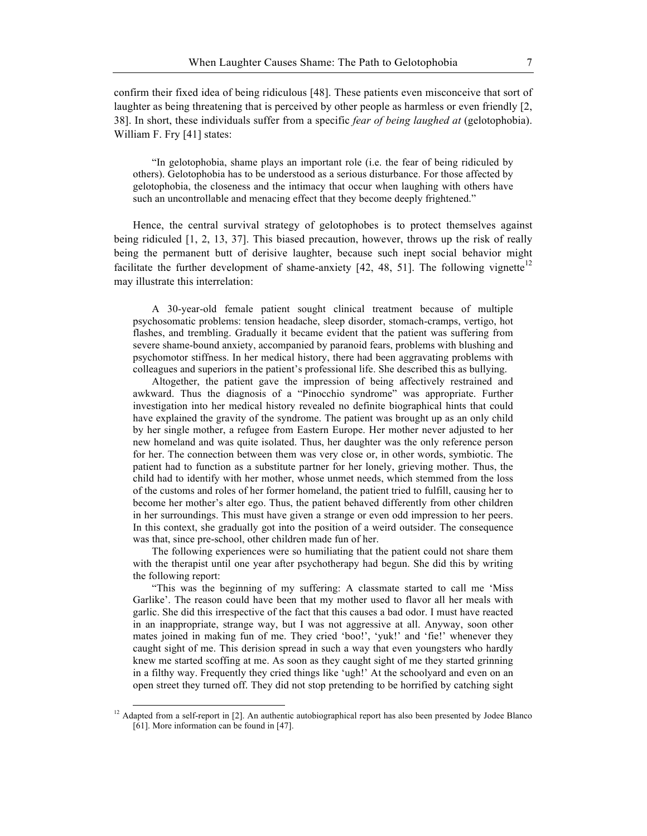confirm their fixed idea of being ridiculous [48]. These patients even misconceive that sort of laughter as being threatening that is perceived by other people as harmless or even friendly [2, 38]. In short, these individuals suffer from a specific *fear of being laughed at* (gelotophobia). William F. Fry [41] states:

"In gelotophobia, shame plays an important role (i.e. the fear of being ridiculed by others). Gelotophobia has to be understood as a serious disturbance. For those affected by gelotophobia, the closeness and the intimacy that occur when laughing with others have such an uncontrollable and menacing effect that they become deeply frightened."

Hence, the central survival strategy of gelotophobes is to protect themselves against being ridiculed [1, 2, 13, 37]. This biased precaution, however, throws up the risk of really being the permanent butt of derisive laughter, because such inept social behavior might facilitate the further development of shame-anxiety  $[42, 48, 51]$ . The following vignette<sup>12</sup> may illustrate this interrelation:

A 30-year-old female patient sought clinical treatment because of multiple psychosomatic problems: tension headache, sleep disorder, stomach-cramps, vertigo, hot flashes, and trembling. Gradually it became evident that the patient was suffering from severe shame-bound anxiety, accompanied by paranoid fears, problems with blushing and psychomotor stiffness. In her medical history, there had been aggravating problems with colleagues and superiors in the patient's professional life. She described this as bullying.

Altogether, the patient gave the impression of being affectively restrained and awkward. Thus the diagnosis of a "Pinocchio syndrome" was appropriate. Further investigation into her medical history revealed no definite biographical hints that could have explained the gravity of the syndrome. The patient was brought up as an only child by her single mother, a refugee from Eastern Europe. Her mother never adjusted to her new homeland and was quite isolated. Thus, her daughter was the only reference person for her. The connection between them was very close or, in other words, symbiotic. The patient had to function as a substitute partner for her lonely, grieving mother. Thus, the child had to identify with her mother, whose unmet needs, which stemmed from the loss of the customs and roles of her former homeland, the patient tried to fulfill, causing her to become her mother's alter ego. Thus, the patient behaved differently from other children in her surroundings. This must have given a strange or even odd impression to her peers. In this context, she gradually got into the position of a weird outsider. The consequence was that, since pre-school, other children made fun of her.

The following experiences were so humiliating that the patient could not share them with the therapist until one year after psychotherapy had begun. She did this by writing the following report:

"This was the beginning of my suffering: A classmate started to call me 'Miss Garlike'. The reason could have been that my mother used to flavor all her meals with garlic. She did this irrespective of the fact that this causes a bad odor. I must have reacted in an inappropriate, strange way, but I was not aggressive at all. Anyway, soon other mates joined in making fun of me. They cried 'boo!', 'yuk!' and 'fie!' whenever they caught sight of me. This derision spread in such a way that even youngsters who hardly knew me started scoffing at me. As soon as they caught sight of me they started grinning in a filthy way. Frequently they cried things like 'ugh!' At the schoolyard and even on an open street they turned off. They did not stop pretending to be horrified by catching sight

 $12$  Adapted from a self-report in [2]. An authentic autobiographical report has also been presented by Jodee Blanco [61]. More information can be found in [47].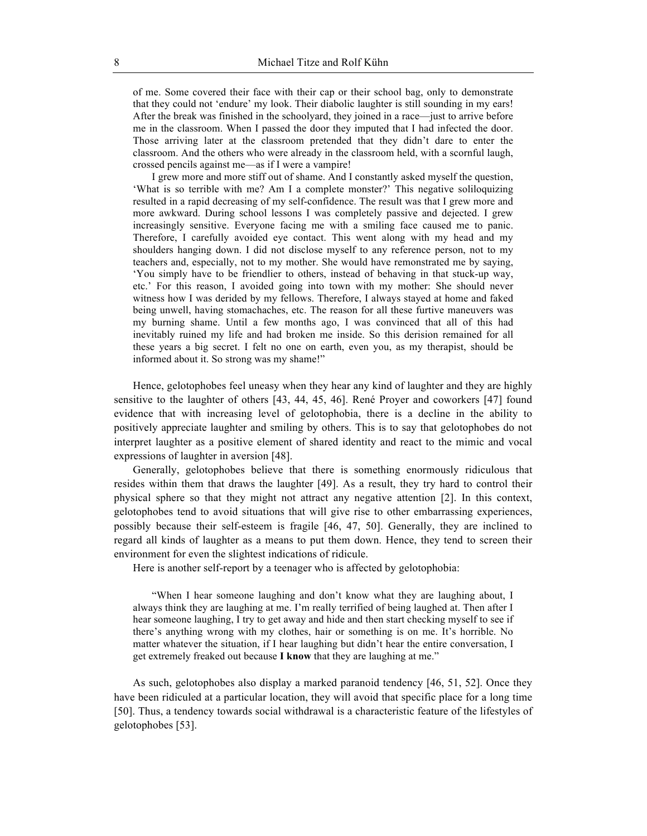of me. Some covered their face with their cap or their school bag, only to demonstrate that they could not 'endure' my look. Their diabolic laughter is still sounding in my ears! After the break was finished in the schoolyard, they joined in a race—just to arrive before me in the classroom. When I passed the door they imputed that I had infected the door. Those arriving later at the classroom pretended that they didn't dare to enter the classroom. And the others who were already in the classroom held, with a scornful laugh, crossed pencils against me—as if I were a vampire!

I grew more and more stiff out of shame. And I constantly asked myself the question, 'What is so terrible with me? Am I a complete monster?' This negative soliloquizing resulted in a rapid decreasing of my self-confidence. The result was that I grew more and more awkward. During school lessons I was completely passive and dejected. I grew increasingly sensitive. Everyone facing me with a smiling face caused me to panic. Therefore, I carefully avoided eye contact. This went along with my head and my shoulders hanging down. I did not disclose myself to any reference person, not to my teachers and, especially, not to my mother. She would have remonstrated me by saying, 'You simply have to be friendlier to others, instead of behaving in that stuck-up way, etc.' For this reason, I avoided going into town with my mother: She should never witness how I was derided by my fellows. Therefore, I always stayed at home and faked being unwell, having stomachaches, etc. The reason for all these furtive maneuvers was my burning shame. Until a few months ago, I was convinced that all of this had inevitably ruined my life and had broken me inside. So this derision remained for all these years a big secret. I felt no one on earth, even you, as my therapist, should be informed about it. So strong was my shame!"

Hence, gelotophobes feel uneasy when they hear any kind of laughter and they are highly sensitive to the laughter of others [43, 44, 45, 46]. René Proyer and coworkers [47] found evidence that with increasing level of gelotophobia, there is a decline in the ability to positively appreciate laughter and smiling by others. This is to say that gelotophobes do not interpret laughter as a positive element of shared identity and react to the mimic and vocal expressions of laughter in aversion [48].

Generally, gelotophobes believe that there is something enormously ridiculous that resides within them that draws the laughter [49]. As a result, they try hard to control their physical sphere so that they might not attract any negative attention [2]. In this context, gelotophobes tend to avoid situations that will give rise to other embarrassing experiences, possibly because their self-esteem is fragile [46, 47, 50]. Generally, they are inclined to regard all kinds of laughter as a means to put them down. Hence, they tend to screen their environment for even the slightest indications of ridicule.

Here is another self-report by a teenager who is affected by gelotophobia:

"When I hear someone laughing and don't know what they are laughing about, I always think they are laughing at me. I'm really terrified of being laughed at. Then after I hear someone laughing, I try to get away and hide and then start checking myself to see if there's anything wrong with my clothes, hair or something is on me. It's horrible. No matter whatever the situation, if I hear laughing but didn't hear the entire conversation, I get extremely freaked out because **I know** that they are laughing at me."

As such, gelotophobes also display a marked paranoid tendency [46, 51, 52]. Once they have been ridiculed at a particular location, they will avoid that specific place for a long time [50]. Thus, a tendency towards social withdrawal is a characteristic feature of the lifestyles of gelotophobes [53].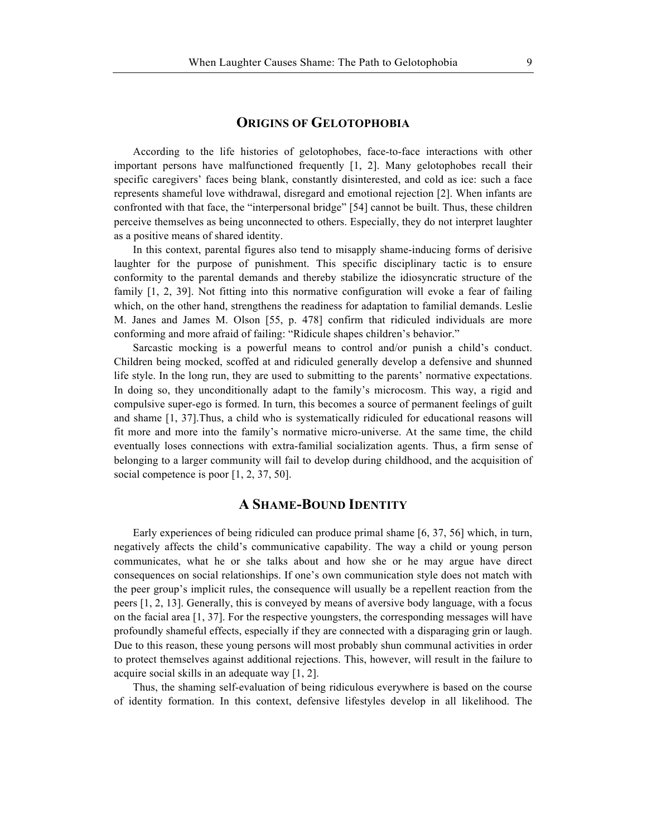#### **ORIGINS OF GELOTOPHOBIA**

According to the life histories of gelotophobes, face-to-face interactions with other important persons have malfunctioned frequently [1, 2]. Many gelotophobes recall their specific caregivers' faces being blank, constantly disinterested, and cold as ice: such a face represents shameful love withdrawal, disregard and emotional rejection [2]. When infants are confronted with that face, the "interpersonal bridge" [54] cannot be built. Thus, these children perceive themselves as being unconnected to others. Especially, they do not interpret laughter as a positive means of shared identity.

In this context, parental figures also tend to misapply shame-inducing forms of derisive laughter for the purpose of punishment. This specific disciplinary tactic is to ensure conformity to the parental demands and thereby stabilize the idiosyncratic structure of the family [1, 2, 39]. Not fitting into this normative configuration will evoke a fear of failing which, on the other hand, strengthens the readiness for adaptation to familial demands. Leslie M. Janes and James M. Olson [55, p. 478] confirm that ridiculed individuals are more conforming and more afraid of failing: "Ridicule shapes children's behavior."

Sarcastic mocking is a powerful means to control and/or punish a child's conduct. Children being mocked, scoffed at and ridiculed generally develop a defensive and shunned life style. In the long run, they are used to submitting to the parents' normative expectations. In doing so, they unconditionally adapt to the family's microcosm. This way, a rigid and compulsive super-ego is formed. In turn, this becomes a source of permanent feelings of guilt and shame [1, 37].Thus, a child who is systematically ridiculed for educational reasons will fit more and more into the family's normative micro-universe. At the same time, the child eventually loses connections with extra-familial socialization agents. Thus, a firm sense of belonging to a larger community will fail to develop during childhood, and the acquisition of social competence is poor [1, 2, 37, 50].

# **A SHAME-BOUND IDENTITY**

Early experiences of being ridiculed can produce primal shame [6, 37, 56] which, in turn, negatively affects the child's communicative capability. The way a child or young person communicates, what he or she talks about and how she or he may argue have direct consequences on social relationships. If one's own communication style does not match with the peer group's implicit rules, the consequence will usually be a repellent reaction from the peers [1, 2, 13]. Generally, this is conveyed by means of aversive body language, with a focus on the facial area [1, 37]. For the respective youngsters, the corresponding messages will have profoundly shameful effects, especially if they are connected with a disparaging grin or laugh. Due to this reason, these young persons will most probably shun communal activities in order to protect themselves against additional rejections. This, however, will result in the failure to acquire social skills in an adequate way [1, 2].

Thus, the shaming self-evaluation of being ridiculous everywhere is based on the course of identity formation. In this context, defensive lifestyles develop in all likelihood. The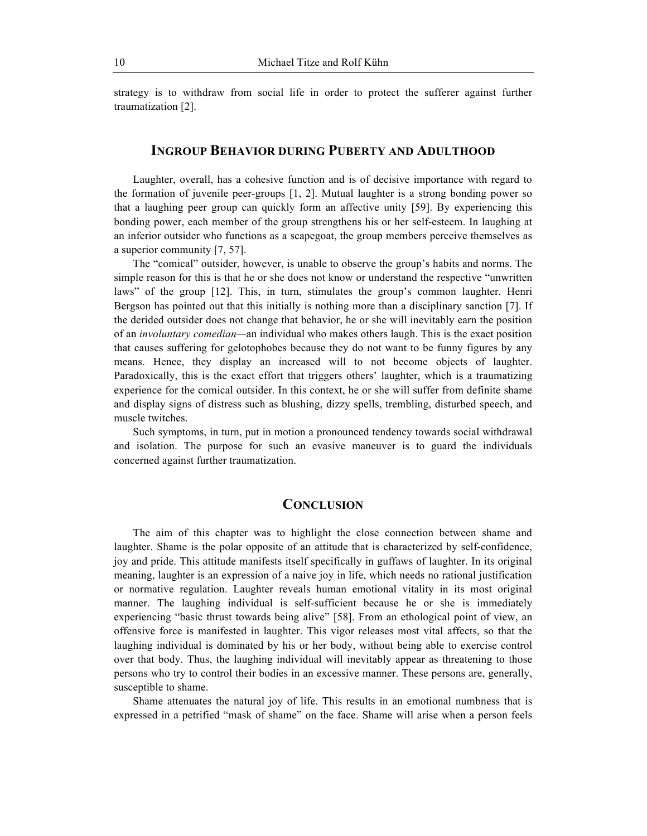strategy is to withdraw from social life in order to protect the sufferer against further traumatization [2].

# **INGROUP BEHAVIOR DURING PUBERTY AND ADULTHOOD**

Laughter, overall, has a cohesive function and is of decisive importance with regard to the formation of juvenile peer-groups [1, 2]. Mutual laughter is a strong bonding power so that a laughing peer group can quickly form an affective unity [59]. By experiencing this bonding power, each member of the group strengthens his or her self-esteem. In laughing at an inferior outsider who functions as a scapegoat, the group members perceive themselves as a superior community [7, 57].

The "comical" outsider, however, is unable to observe the group's habits and norms. The simple reason for this is that he or she does not know or understand the respective "unwritten laws" of the group [12]. This, in turn, stimulates the group's common laughter. Henri Bergson has pointed out that this initially is nothing more than a disciplinary sanction [7]. If the derided outsider does not change that behavior, he or she will inevitably earn the position of an *involuntary comedian—*an individual who makes others laugh. This is the exact position that causes suffering for gelotophobes because they do not want to be funny figures by any means. Hence, they display an increased will to not become objects of laughter. Paradoxically, this is the exact effort that triggers others' laughter, which is a traumatizing experience for the comical outsider. In this context, he or she will suffer from definite shame and display signs of distress such as blushing, dizzy spells, trembling, disturbed speech, and muscle twitches.

Such symptoms, in turn, put in motion a pronounced tendency towards social withdrawal and isolation. The purpose for such an evasive maneuver is to guard the individuals concerned against further traumatization.

# **CONCLUSION**

The aim of this chapter was to highlight the close connection between shame and laughter. Shame is the polar opposite of an attitude that is characterized by self-confidence, joy and pride. This attitude manifests itself specifically in guffaws of laughter. In its original meaning, laughter is an expression of a naive joy in life, which needs no rational justification or normative regulation. Laughter reveals human emotional vitality in its most original manner. The laughing individual is self-sufficient because he or she is immediately experiencing "basic thrust towards being alive" [58]. From an ethological point of view, an offensive force is manifested in laughter. This vigor releases most vital affects, so that the laughing individual is dominated by his or her body, without being able to exercise control over that body. Thus, the laughing individual will inevitably appear as threatening to those persons who try to control their bodies in an excessive manner. These persons are, generally, susceptible to shame.

Shame attenuates the natural joy of life. This results in an emotional numbness that is expressed in a petrified "mask of shame" on the face. Shame will arise when a person feels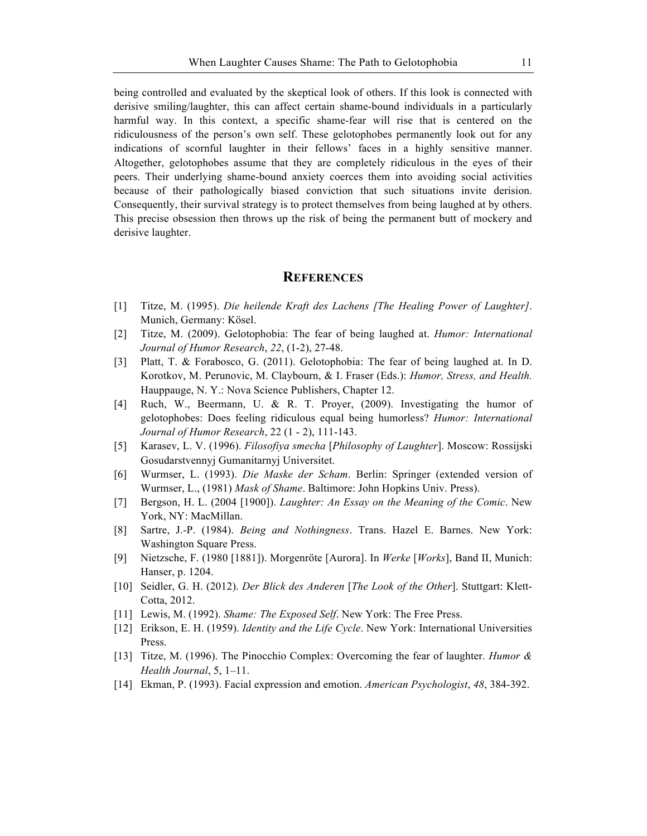being controlled and evaluated by the skeptical look of others. If this look is connected with derisive smiling/laughter, this can affect certain shame-bound individuals in a particularly harmful way. In this context, a specific shame-fear will rise that is centered on the ridiculousness of the person's own self. These gelotophobes permanently look out for any indications of scornful laughter in their fellows' faces in a highly sensitive manner. Altogether, gelotophobes assume that they are completely ridiculous in the eyes of their peers. Their underlying shame-bound anxiety coerces them into avoiding social activities because of their pathologically biased conviction that such situations invite derision. Consequently, their survival strategy is to protect themselves from being laughed at by others. This precise obsession then throws up the risk of being the permanent butt of mockery and derisive laughter.

#### **REFERENCES**

- [1] Titze, M. (1995). *Die heilende Kraft des Lachens [The Healing Power of Laughter]*. Munich, Germany: Kösel.
- [2] Titze, M. (2009). Gelotophobia: The fear of being laughed at. *Humor: International Journal of Humor Research*, *22*, (1-2), 27-48.
- [3] Platt, T. & Forabosco, G. (2011). Gelotophobia: The fear of being laughed at. In D. Korotkov, M. Perunovic, M. Claybourn, & I. Fraser (Eds.): *Humor, Stress, and Health.*  Hauppauge, N. Y.: Nova Science Publishers, Chapter 12.
- [4] Ruch, W., Beermann, U. & R. T. Proyer, (2009). Investigating the humor of gelotophobes: Does feeling ridiculous equal being humorless? *Humor: International Journal of Humor Research*, 22 (1 - 2), 111-143.
- [5] Karasev, L. V. (1996). *Filosofiya smecha* [*Philosophy of Laughter*]. Moscow: Rossijski Gosudarstvennyj Gumanitarnyj Universitet.
- [6] Wurmser, L. (1993). *Die Maske der Scham*. Berlin: Springer (extended version of Wurmser, L., (1981) *Mask of Shame*. Baltimore: John Hopkins Univ. Press).
- [7] Bergson, H. L. (2004 [1900]). *Laughter: An Essay on the Meaning of the Comic*. New York, NY: MacMillan.
- [8] Sartre, J.-P. (1984). *Being and Nothingness*. Trans. Hazel E. Barnes. New York: Washington Square Press.
- [9] Nietzsche, F. (1980 [1881]). Morgenröte [Aurora]. In *Werke* [*Works*], Band II, Munich: Hanser, p. 1204.
- [10] Seidler, G. H. (2012). *Der Blick des Anderen* [*The Look of the Other*]. Stuttgart: Klett-Cotta, 2012.
- [11] Lewis, M. (1992). *Shame: The Exposed Self.* New York: The Free Press.
- [12] Erikson, E. H. (1959). *Identity and the Life Cycle*. New York: International Universities Press.
- [13] Titze, M. (1996). The Pinocchio Complex: Overcoming the fear of laughter. *Humor & Health Journal*, 5, 1–11.
- [14] Ekman, P. (1993). Facial expression and emotion. *American Psychologist*, *48*, 384-392.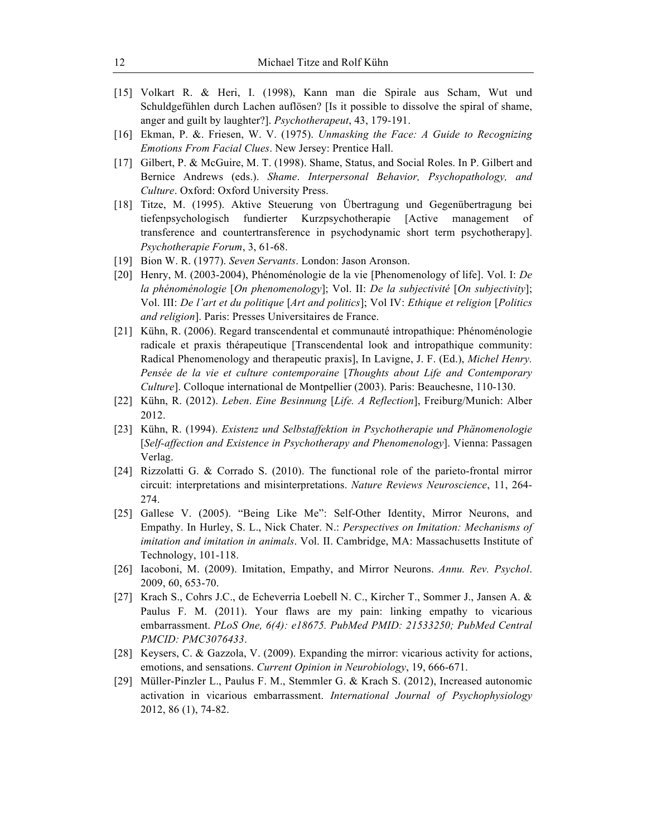- [15] Volkart R. & Heri, I. (1998), Kann man die Spirale aus Scham, Wut und Schuldgefühlen durch Lachen auflösen? [Is it possible to dissolve the spiral of shame, anger and guilt by laughter?]. *Psychotherapeut*, 43, 179-191.
- [16] Ekman, P. &. Friesen, W. V. (1975). *Unmasking the Face: A Guide to Recognizing Emotions From Facial Clues*. New Jersey: Prentice Hall.
- [17] Gilbert, P. & McGuire, M. T. (1998). Shame, Status, and Social Roles. In P. Gilbert and Bernice Andrews (eds.). *Shame*. *Interpersonal Behavior, Psychopathology, and Culture*. Oxford: Oxford University Press.
- [18] Titze, M. (1995). Aktive Steuerung von Übertragung und Gegenübertragung bei tiefenpsychologisch fundierter Kurzpsychotherapie [Active management of transference and countertransference in psychodynamic short term psychotherapy]. *Psychotherapie Forum*, 3, 61-68.
- [19] Bion W. R. (1977). *Seven Servants*. London: Jason Aronson.
- [20] Henry, M. (2003-2004), Phénoménologie de la vie [Phenomenology of life]. Vol. I: *De la phénoménologie* [*On phenomenology*]; Vol. II: *De la subjectivité* [*On subjectivity*]; Vol. III: *De l'art et du politique* [*Art and politics*]; Vol IV: *Ethique et religion* [*Politics and religion*]. Paris: Presses Universitaires de France.
- [21] Kühn, R. (2006). Regard transcendental et communauté intropathique: Phénoménologie radicale et praxis thérapeutique [Transcendental look and intropathique community: Radical Phenomenology and therapeutic praxis], In Lavigne, J. F. (Ed.), *Michel Henry. Pensée de la vie et culture contemporaine* [*Thoughts about Life and Contemporary Culture*]. Colloque international de Montpellier (2003). Paris: Beauchesne, 110-130.
- [22] Kühn, R. (2012). *Leben*. *Eine Besinnung* [*Life. A Reflection*], Freiburg/Munich: Alber 2012.
- [23] Kühn, R. (1994). *Existenz und Selbstaffektion in Psychotherapie und Phänomenologie* [*Self-affection and Existence in Psychotherapy and Phenomenology*]. Vienna: Passagen Verlag.
- [24] Rizzolatti G. & Corrado S. (2010). The functional role of the parieto-frontal mirror circuit: interpretations and misinterpretations. *Nature Reviews Neuroscience*, 11, 264- 274.
- [25] Gallese V. (2005). "Being Like Me": Self-Other Identity, Mirror Neurons, and Empathy. In Hurley, S. L., Nick Chater. N.: *Perspectives on Imitation: Mechanisms of imitation and imitation in animals*. Vol. II. Cambridge, MA: Massachusetts Institute of Technology, 101-118.
- [26] Iacoboni, M. (2009). Imitation, Empathy, and Mirror Neurons. *Annu. Rev. Psychol*. 2009, 60, 653-70.
- [27] Krach S., Cohrs J.C., de Echeverria Loebell N. C., Kircher T., Sommer J., Jansen A. & Paulus F. M. (2011). Your flaws are my pain: linking empathy to vicarious embarrassment. *PLoS One, 6(4): e18675. PubMed PMID: 21533250; PubMed Central PMCID: PMC3076433*.
- [28] Keysers, C. & Gazzola, V. (2009). Expanding the mirror: vicarious activity for actions, emotions, and sensations. *Current Opinion in Neurobiology*, 19, 666-671.
- [29] Müller-Pinzler L., Paulus F. M., Stemmler G. & Krach S. (2012), Increased autonomic activation in vicarious embarrassment. *International Journal of Psychophysiology*  2012, 86 (1), 74-82.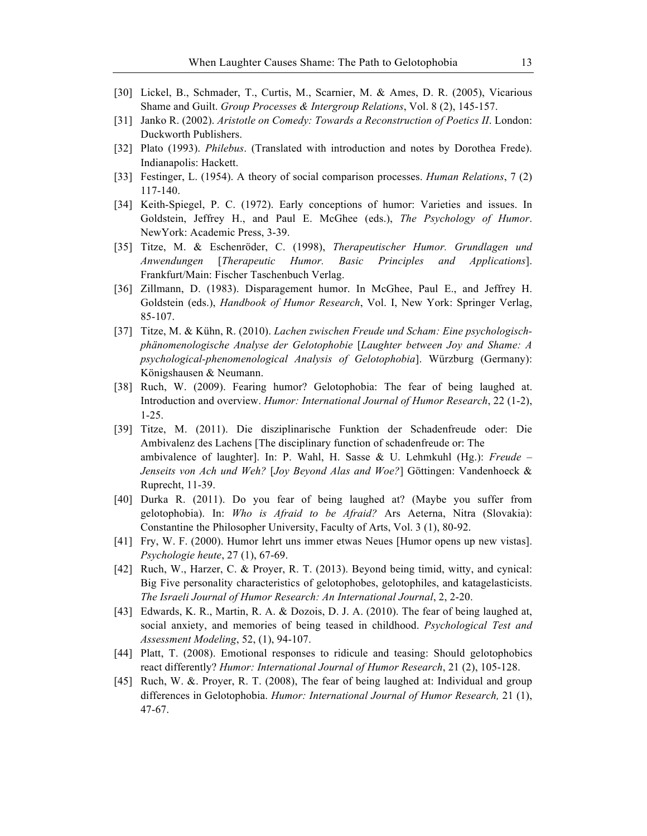- [30] Lickel, B., Schmader, T., Curtis, M., Scarnier, M. & Ames, D. R. (2005), Vicarious Shame and Guilt. *Group Processes & Intergroup Relations*, Vol. 8 (2), 145-157.
- [31] Janko R. (2002). *Aristotle on Comedy: Towards a Reconstruction of Poetics II*. London: Duckworth Publishers.
- [32] Plato (1993). *Philebus*. (Translated with introduction and notes by Dorothea Frede). Indianapolis: Hackett.
- [33] Festinger, L. (1954). A theory of social comparison processes. *Human Relations*, 7 (2) 117-140.
- [34] Keith-Spiegel, P. C. (1972). Early conceptions of humor: Varieties and issues. In Goldstein, Jeffrey H., and Paul E. McGhee (eds.), *The Psychology of Humor*. NewYork: Academic Press, 3-39.
- [35] Titze, M. & Eschenröder, C. (1998), *Therapeutischer Humor. Grundlagen und Anwendungen* [*Therapeutic Humor. Basic Principles and Applications*]. Frankfurt/Main: Fischer Taschenbuch Verlag.
- [36] Zillmann, D. (1983). Disparagement humor. In McGhee, Paul E., and Jeffrey H. Goldstein (eds.), *Handbook of Humor Research*, Vol. I, New York: Springer Verlag, 85-107.
- [37] Titze, M. & Kühn, R. (2010). *Lachen zwischen Freude und Scham: Eine psychologischphänomenologische Analyse der Gelotophobie* [*Laughter between Joy and Shame: A psychological-phenomenological Analysis of Gelotophobia*]. Würzburg (Germany): Königshausen & Neumann.
- [38] Ruch, W. (2009). Fearing humor? Gelotophobia: The fear of being laughed at. Introduction and overview. *Humor: International Journal of Humor Research*, 22 (1-2), 1-25.
- [39] Titze, M. (2011). Die disziplinarische Funktion der Schadenfreude oder: Die Ambivalenz des Lachens [The disciplinary function of schadenfreude or: The ambivalence of laughter]. In: P. Wahl, H. Sasse & U. Lehmkuhl (Hg.): *Freude – Jenseits von Ach und Weh?* [*Joy Beyond Alas and Woe?*] Göttingen: Vandenhoeck & Ruprecht, 11-39.
- [40] Durka R. (2011). Do you fear of being laughed at? (Maybe you suffer from gelotophobia). In: *Who is Afraid to be Afraid?* Ars Aeterna, Nitra (Slovakia): Constantine the Philosopher University, Faculty of Arts, Vol. 3 (1), 80-92.
- [41] Fry, W. F. (2000). Humor lehrt uns immer etwas Neues [Humor opens up new vistas]. *Psychologie heute*, 27 (1), 67-69.
- [42] Ruch, W., Harzer, C. & Proyer, R. T. (2013). Beyond being timid, witty, and cynical: Big Five personality characteristics of gelotophobes, gelotophiles, and katagelasticists. *The Israeli Journal of Humor Research: An International Journal*, 2, 2-20.
- [43] Edwards, K. R., Martin, R. A. & Dozois, D. J. A. (2010). The fear of being laughed at, social anxiety, and memories of being teased in childhood. *Psychological Test and Assessment Modeling*, 52, (1), 94-107.
- [44] Platt, T. (2008). Emotional responses to ridicule and teasing: Should gelotophobics react differently? *Humor: International Journal of Humor Research*, 21 (2), 105-128.
- [45] Ruch, W. &. Proyer, R. T. (2008), The fear of being laughed at: Individual and group differences in Gelotophobia. *Humor: International Journal of Humor Research,* 21 (1), 47-67.